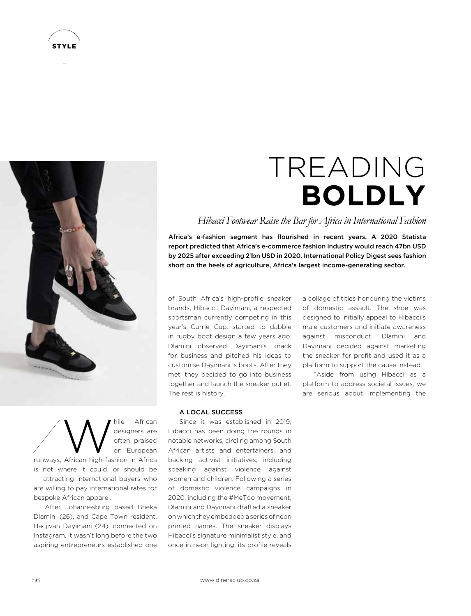

STYLE

While African<br>
designers are<br>
on European<br>
African bigh faction in Africa designers are often praised on European runways, African high-fashion in Africa is not where it could, or should be – attracting international buyers who are willing to pay international rates for bespoke African apparel.

After Johannesburg based Bheka Dlamini (26), and Cape Town resident, Hacjivah Dayimani (24), connected on Instagram, it wasn't long before the two aspiring entrepreneurs established one

## TREADING **BOLDLY**

*Hibacci Footwear Raise the Bar for Africa in International Fashion*

Africa's e-fashion segment has flourished in recent years. A 2020 Statista report predicted that Africa's e-commerce fashion industry would reach 47bn USD by 2025 after exceeding 21bn USD in 2020. International Policy Digest sees fashion short on the heels of agriculture, Africa's largest income-generating sector.

of South Africa's high-profile sneaker brands, Hibacci. Dayimani, a respected sportsman currently competing in this year's Currie Cup, started to dabble in rugby boot design a few years ago. Dlamini observed Dayimani's knack for business and pitched his ideas to customise Dayimani 's boots. After they met, they decided to go into business together and launch the sneaker outlet. The rest is history.

## A LOCAL SUCCESS

Since it was established in 2019, Hibacci has been doing the rounds in notable networks, circling among South African artists and entertainers, and backing activist initiatives, including speaking against violence against women and children. Following a series of domestic violence campaigns in 2020, including the #MeToo movement, Dlamini and Dayimani drafted a sneaker on which they embedded a series of neon printed names. The sneaker displays Hibacci's signature minimalist style, and once in neon lighting, its profile reveals a collage of titles honouring the victims of domestic assault. The shoe was designed to initially appeal to Hibacci's male customers and initiate awareness against misconduct. Dlamini and Dayimani decided against marketing the sneaker for profit and used it as a platform to support the cause instead.

"Aside from using Hibacci as a platform to address societal issues, we are serious about implementing the

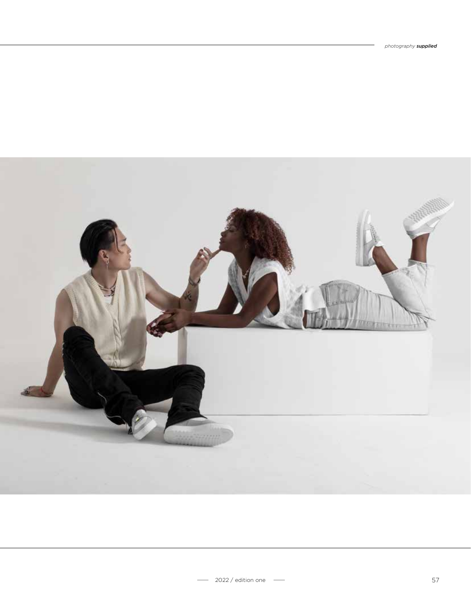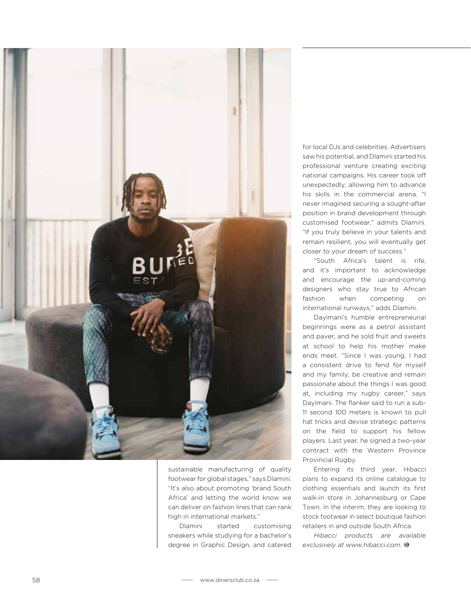

sustainable manufacturing of quality footwear for global stages," says Dlamini. "It's also about promoting 'brand South Africa' and letting the world know we can deliver on fashion lines that can rank high in international markets."

Dlamini started customising sneakers while studying for a bachelor's degree in Graphic Design, and catered for local DJs and celebrities. Advertisers saw his potential, and Dlamini started his professional venture creating exciting national campaigns. His career took off unexpectedly, allowing him to advance his skills in the commercial arena. "I never imagined securing a sought-after position in brand development through customised footwear," admits Dlamini. "If you truly believe in your talents and remain resilient, you will eventually get closer to your dream of success."

"South Africa's talent is rife, and it's important to acknowledge and encourage the up-and-coming designers who stay true to African fashion when competing on international runways," adds Dlamini.

Dayimani's humble entrepreneurial beginnings were as a petrol assistant and paver, and he sold fruit and sweets at school to help his mother make ends meet. "Since I was young, I had a consistent drive to fend for myself and my family, be creative and remain passionate about the things I was good at, including my rugby career," says Dayimani. The flanker said to run a sub-11 second 100 meters is known to pull hat tricks and devise strategic patterns on the field to support his fellow players. Last year, he signed a two-year contract with the Western Province Provincial Rugby.

Entering its third year, Hibacci plans to expand its online catalogue to clothing essentials and launch its first walk-in store in Johannesburg or Cape Town. In the interim, they are looking to stock footwear in select boutique fashion retailers in and outside South Africa.

*Hibacci products are available exclusively at www.hibacci.com.*